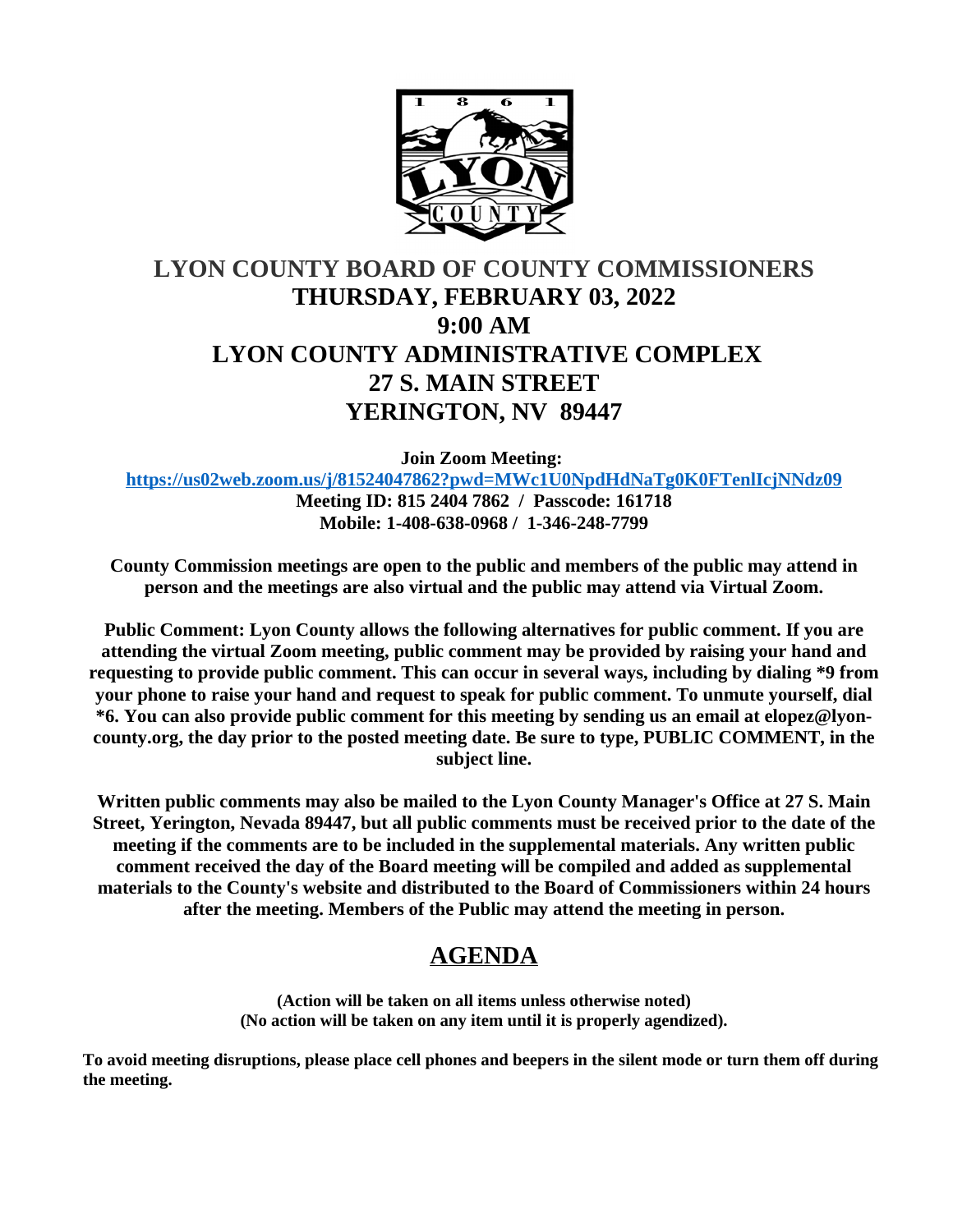

# **LYON COUNTY BOARD OF COUNTY COMMISSIONERS THURSDAY, FEBRUARY 03, 2022 9:00 AM LYON COUNTY ADMINISTRATIVE COMPLEX 27 S. MAIN STREET YERINGTON, NV 89447**

**Join Zoom Meeting:** 

**<https://us02web.zoom.us/j/81524047862?pwd=MWc1U0NpdHdNaTg0K0FTenlIcjNNdz09> Meeting ID: 815 2404 7862 / Passcode: 161718**

**Mobile: 1-408-638-0968 / 1-346-248-7799**

**County Commission meetings are open to the public and members of the public may attend in person and the meetings are also virtual and the public may attend via Virtual Zoom.**

**Public Comment: Lyon County allows the following alternatives for public comment. If you are attending the virtual Zoom meeting, public comment may be provided by raising your hand and requesting to provide public comment. This can occur in several ways, including by dialing \*9 from your phone to raise your hand and request to speak for public comment. To unmute yourself, dial \*6. You can also provide public comment for this meeting by sending us an email at elopez@lyoncounty.org, the day prior to the posted meeting date. Be sure to type, PUBLIC COMMENT, in the subject line.**

**Written public comments may also be mailed to the Lyon County Manager's Office at 27 S. Main Street, Yerington, Nevada 89447, but all public comments must be received prior to the date of the meeting if the comments are to be included in the supplemental materials. Any written public comment received the day of the Board meeting will be compiled and added as supplemental materials to the County's website and distributed to the Board of Commissioners within 24 hours after the meeting. Members of the Public may attend the meeting in person.**

# **AGENDA**

**(Action will be taken on all items unless otherwise noted) (No action will be taken on any item until it is properly agendized).**

**To avoid meeting disruptions, please place cell phones and beepers in the silent mode or turn them off during the meeting.**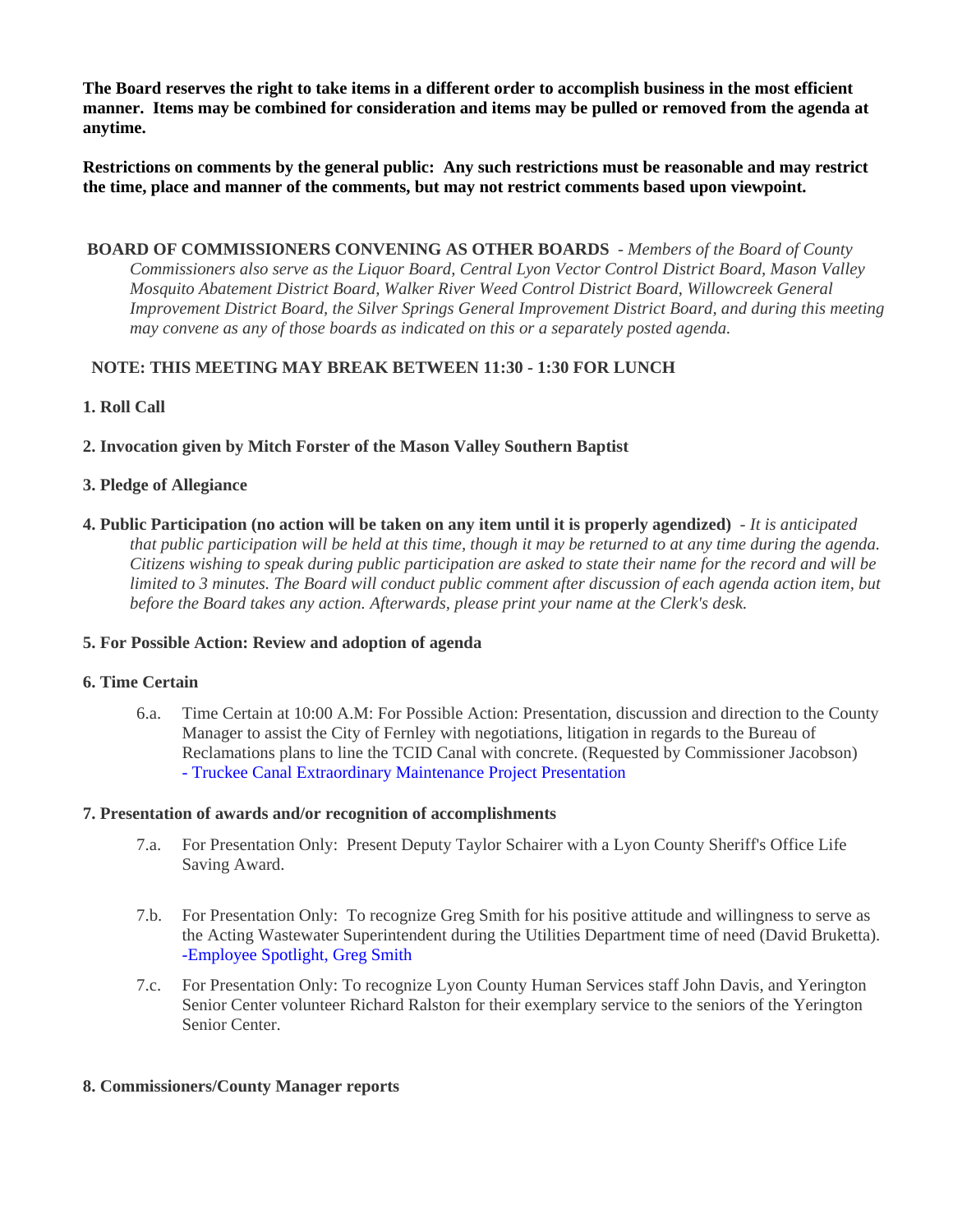**The Board reserves the right to take items in a different order to accomplish business in the most efficient manner. Items may be combined for consideration and items may be pulled or removed from the agenda at anytime.**

**Restrictions on comments by the general public: Any such restrictions must be reasonable and may restrict the time, place and manner of the comments, but may not restrict comments based upon viewpoint.**

 **BOARD OF COMMISSIONERS CONVENING AS OTHER BOARDS** - *Members of the Board of County Commissioners also serve as the Liquor Board, Central Lyon Vector Control District Board, Mason Valley Mosquito Abatement District Board, Walker River Weed Control District Board, Willowcreek General Improvement District Board, the Silver Springs General Improvement District Board, and during this meeting may convene as any of those boards as indicated on this or a separately posted agenda.*

## **NOTE: THIS MEETING MAY BREAK BETWEEN 11:30 - 1:30 FOR LUNCH**

## **1. Roll Call**

**2. Invocation given by Mitch Forster of the Mason Valley Southern Baptist**

## **3. Pledge of Allegiance**

**4. Public Participation (no action will be taken on any item until it is properly agendized)** - *It is anticipated that public participation will be held at this time, though it may be returned to at any time during the agenda. Citizens wishing to speak during public participation are asked to state their name for the record and will be limited to 3 minutes. The Board will conduct public comment after discussion of each agenda action item, but before the Board takes any action. Afterwards, please print your name at the Clerk's desk.*

## **5. For Possible Action: Review and adoption of agenda**

#### **6. Time Certain**

6.a. Time Certain at 10:00 A.M: For Possible Action: Presentation, discussion and direction to the County Manager to assist the City of Fernley with negotiations, litigation in regards to the Bureau of Reclamations plans to line the TCID Canal with concrete. (Requested by Commissioner Jacobson) [- Truckee Canal Extraordinary Maintenance Project Presentation](https://legistarweb-production.s3.amazonaws.com/uploads/attachment/pdf/1222507/2022-02-03_Presentatio_to_Lyon_Co_BCC.pdf)

#### **7. Presentation of awards and/or recognition of accomplishments**

- 7.a. For Presentation Only: Present Deputy Taylor Schairer with a Lyon County Sheriff's Office Life Saving Award.
- 7.b. For Presentation Only: To recognize Greg Smith for his positive attitude and willingness to serve as the Acting Wastewater Superintendent during the Utilities Department time of need (David Bruketta). [-Employee Spotlight, Greg Smith](https://legistarweb-production.s3.amazonaws.com/uploads/attachment/pdf/1203248/20220203_Smith.pdf)
- 7.c. For Presentation Only: To recognize Lyon County Human Services staff John Davis, and Yerington Senior Center volunteer Richard Ralston for their exemplary service to the seniors of the Yerington Senior Center.

## **8. Commissioners/County Manager reports**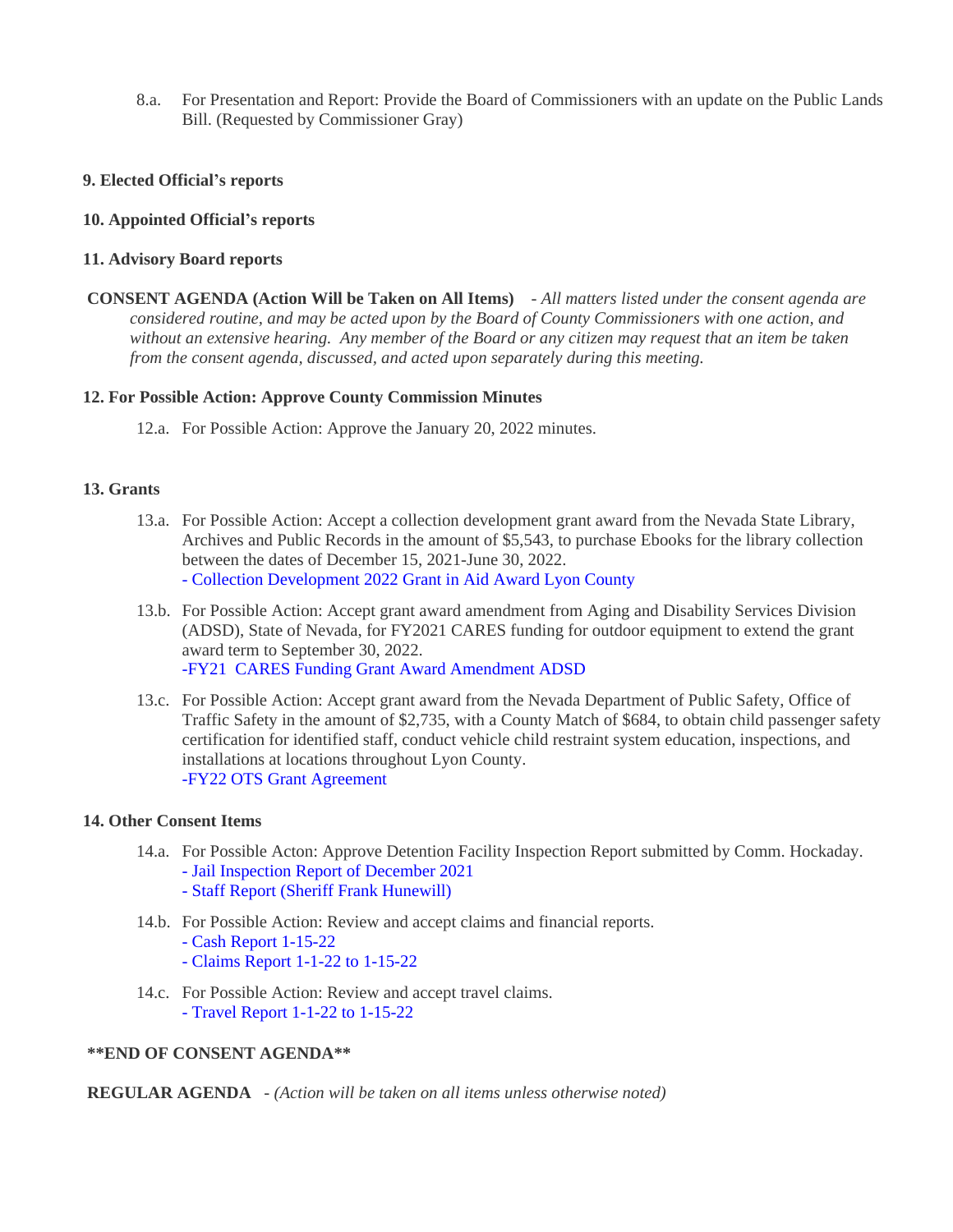8.a. For Presentation and Report: Provide the Board of Commissioners with an update on the Public Lands Bill. (Requested by Commissioner Gray)

## **9. Elected Official's reports**

#### **10. Appointed Official's reports**

#### **11. Advisory Board reports**

 **CONSENT AGENDA (Action Will be Taken on All Items)** - *All matters listed under the consent agenda are considered routine, and may be acted upon by the Board of County Commissioners with one action, and without an extensive hearing. Any member of the Board or any citizen may request that an item be taken from the consent agenda, discussed, and acted upon separately during this meeting.*

#### **12. For Possible Action: Approve County Commission Minutes**

12.a. For Possible Action: Approve the January 20, 2022 minutes.

#### **13. Grants**

- 13.a. For Possible Action: Accept a collection development grant award from the Nevada State Library, Archives and Public Records in the amount of \$5,543, to purchase Ebooks for the library collection between the dates of December 15, 2021-June 30, 2022. [- Collection Development 2022 Grant in Aid Award Lyon County](https://legistarweb-production.s3.amazonaws.com/uploads/attachment/pdf/1219216/-_Collection_Development_2022_Grant_In_Aid_Award_Lyon_County.pdf)
- 13.b. For Possible Action: Accept grant award amendment from Aging and Disability Services Division (ADSD), State of Nevada, for FY2021 CARES funding for outdoor equipment to extend the grant award term to September 30, 2022. [-FY21 CARES Funding Grant Award Amendment ADSD](https://legistarweb-production.s3.amazonaws.com/uploads/attachment/pdf/1220304/-FY21_ADSD_CARES_NOSA_A2.pdf)
- 13.c. For Possible Action: Accept grant award from the Nevada Department of Public Safety, Office of Traffic Safety in the amount of \$2,735, with a County Match of \$684, to obtain child passenger safety certification for identified staff, conduct vehicle child restraint system education, inspections, and installations at locations throughout Lyon County. [-FY22 OTS Grant Agreement](https://legistarweb-production.s3.amazonaws.com/uploads/attachment/pdf/1220317/-FY22_OTS_Grant_Agreement.pdf)

#### **14. Other Consent Items**

- 14.a. For Possible Acton: Approve Detention Facility Inspection Report submitted by Comm. Hockaday. [- Jail Inspection Report of December 2021](https://legistarweb-production.s3.amazonaws.com/uploads/attachment/pdf/1220698/Jail_Inspection_Report_of_December_2021.pdf) [- Staff Report \(Sheriff Frank Hunewill\)](https://legistarweb-production.s3.amazonaws.com/uploads/attachment/pdf/1223678/Adequate.pdf)
- 14.b. For Possible Action: Review and accept claims and financial reports.
	- [Cash Report 1-15-22](https://legistarweb-production.s3.amazonaws.com/uploads/attachment/pdf/1211339/Cash_Report_1-15-22.pdf)
	- [Claims Report 1-1-22 to 1-15-22](https://legistarweb-production.s3.amazonaws.com/uploads/attachment/pdf/1211340/Claims_Report_1-1-22_to_1-15-22.pdf)
- 14.c. For Possible Action: Review and accept travel claims. [- Travel Report 1-1-22 to 1-15-22](https://legistarweb-production.s3.amazonaws.com/uploads/attachment/pdf/1212004/Travel_Report_1-1-22_to_1-15-22.pdf)

#### **\*\*END OF CONSENT AGENDA\*\***

 **REGULAR AGENDA** - *(Action will be taken on all items unless otherwise noted)*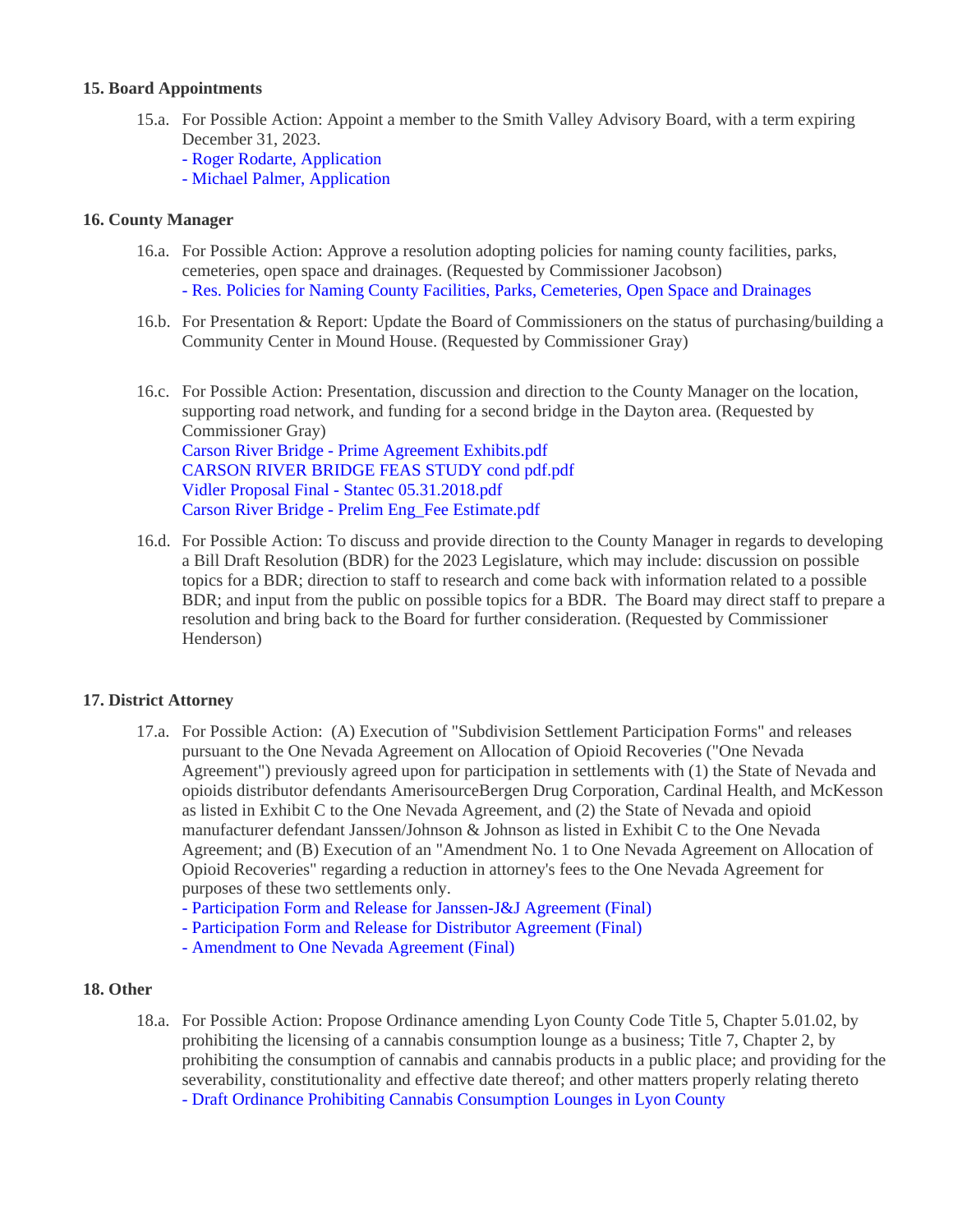## **15. Board Appointments**

- 15.a. For Possible Action: Appoint a member to the Smith Valley Advisory Board, with a term expiring December 31, 2023.
	- [Roger Rodarte, Application](https://legistarweb-production.s3.amazonaws.com/uploads/attachment/pdf/1223582/doc15435020220126111855.pdf)
	- [Michael Palmer, Application](https://legistarweb-production.s3.amazonaws.com/uploads/attachment/pdf/1223592/doc15435120220126111917__1_.pdf)

#### **16. County Manager**

- 16.a. For Possible Action: Approve a resolution adopting policies for naming county facilities, parks, cemeteries, open space and drainages. (Requested by Commissioner Jacobson) [- Res. Policies for Naming County Facilities, Parks, Cemeteries, Open Space and Drainages](https://legistarweb-production.s3.amazonaws.com/uploads/attachment/pdf/1221375/02032022_RESOLUTION_FACILITY_NAMES.pdf)
- 16.b. For Presentation & Report: Update the Board of Commissioners on the status of purchasing/building a Community Center in Mound House. (Requested by Commissioner Gray)
- 16.c. For Possible Action: Presentation, discussion and direction to the County Manager on the location, supporting road network, and funding for a second bridge in the Dayton area. (Requested by Commissioner Gray) [Carson River Bridge - Prime Agreement Exhibits.pdf](https://legistarweb-production.s3.amazonaws.com/uploads/attachment/pdf/1225290/Carson_River_Bridge_-_Prime_Agreement_Exhibits.pdf) [CARSON RIVER BRIDGE FEAS STUDY cond pdf.pdf](https://legistarweb-production.s3.amazonaws.com/uploads/attachment/pdf/1225296/CARSON_RIVER_BRIDGE_FEAS_STUDY_cond_pdf.pdf) [Vidler Proposal Final - Stantec 05.31.2018.pdf](https://legistarweb-production.s3.amazonaws.com/uploads/attachment/pdf/1225297/Vidler_Proposal_Final_-_Stantec_05.31.2018.pdf) [Carson River Bridge - Prelim Eng\\_Fee Estimate.pdf](https://legistarweb-production.s3.amazonaws.com/uploads/attachment/pdf/1225298/Carson_River_Bridge_-_Prelim_Eng_Fee_Estimate.pdf)
- 16.d. For Possible Action: To discuss and provide direction to the County Manager in regards to developing a Bill Draft Resolution (BDR) for the 2023 Legislature, which may include: discussion on possible topics for a BDR; direction to staff to research and come back with information related to a possible BDR; and input from the public on possible topics for a BDR. The Board may direct staff to prepare a resolution and bring back to the Board for further consideration. (Requested by Commissioner Henderson)

#### **17. District Attorney**

- 17.a. For Possible Action: (A) Execution of "Subdivision Settlement Participation Forms" and releases pursuant to the One Nevada Agreement on Allocation of Opioid Recoveries ("One Nevada Agreement") previously agreed upon for participation in settlements with (1) the State of Nevada and opioids distributor defendants AmerisourceBergen Drug Corporation, Cardinal Health, and McKesson as listed in Exhibit C to the One Nevada Agreement, and (2) the State of Nevada and opioid manufacturer defendant Janssen/Johnson & Johnson as listed in Exhibit C to the One Nevada Agreement; and (B) Execution of an "Amendment No. 1 to One Nevada Agreement on Allocation of Opioid Recoveries" regarding a reduction in attorney's fees to the One Nevada Agreement for purposes of these two settlements only.
	- [Participation Form and Release for Janssen-J&J Agreement \(Final\)](https://legistarweb-production.s3.amazonaws.com/uploads/attachment/pdf/1220437/Participation_Form_and_Release_for_Janssen-J_J_Agreement__Final_.pdf)
	- [Participation Form and Release for Distributor Agreement \(Final\)](https://legistarweb-production.s3.amazonaws.com/uploads/attachment/pdf/1220438/Participation_Form_and_Release_for_Distributor_Agreement__Final_.pdf)
	- [Amendment to One Nevada Agreement \(Final\)](https://legistarweb-production.s3.amazonaws.com/uploads/attachment/pdf/1220439/Amendment_to_One_Nevada_Agreement__Final_.pdf)

#### **18. Other**

18.a. For Possible Action: Propose Ordinance amending Lyon County Code Title 5, Chapter 5.01.02, by prohibiting the licensing of a cannabis consumption lounge as a business; Title 7, Chapter 2, by prohibiting the consumption of cannabis and cannabis products in a public place; and providing for the severability, constitutionality and effective date thereof; and other matters properly relating thereto [- Draft Ordinance Prohibiting Cannabis Consumption Lounges in Lyon County](https://legistarweb-production.s3.amazonaws.com/uploads/attachment/pdf/1221215/Draft_Ordinance_Prohibiting_Cannabis_Consumotion_Lounges_in_Lyon_County.pdf)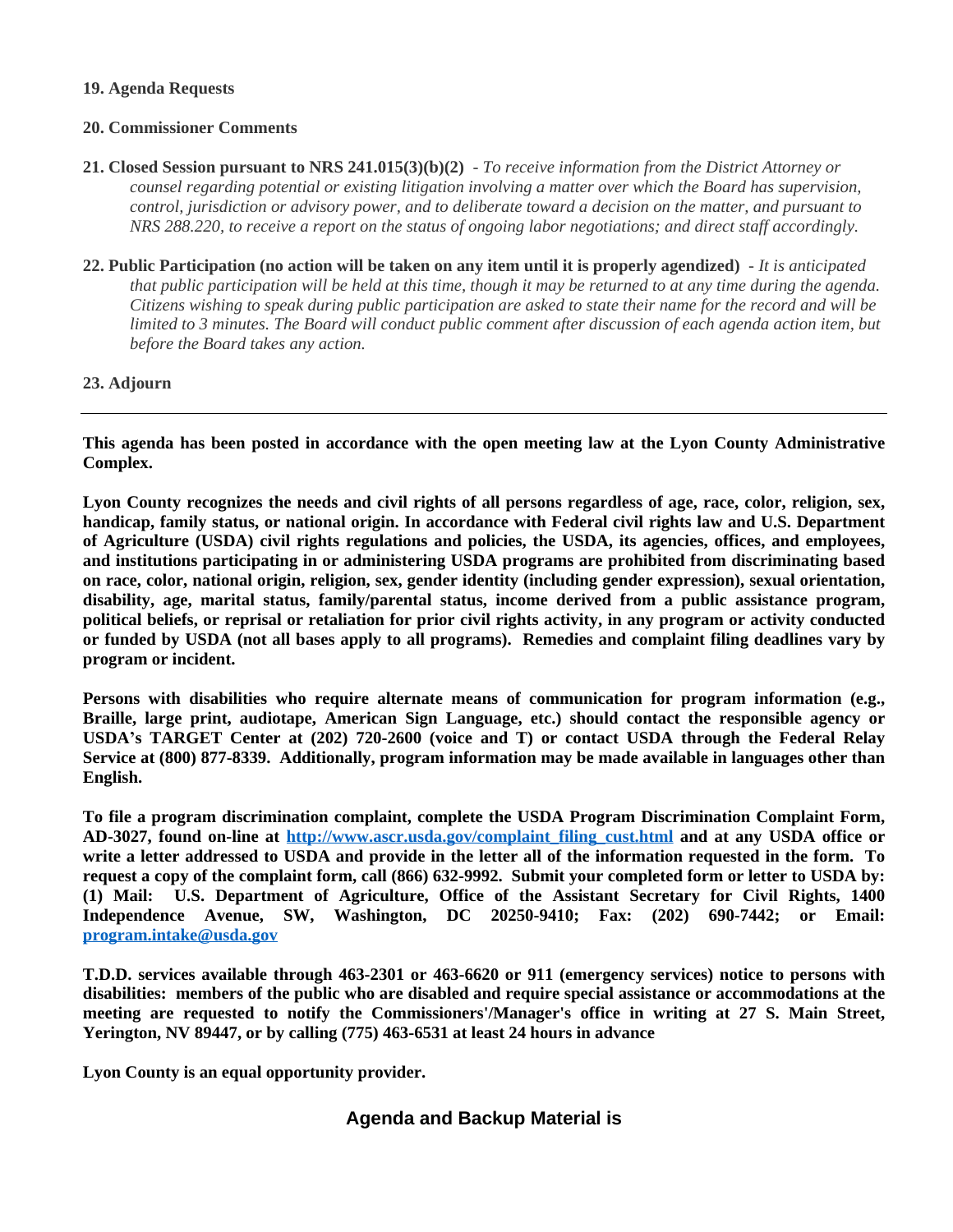#### **19. Agenda Requests**

#### **20. Commissioner Comments**

- **21. Closed Session pursuant to NRS 241.015(3)(b)(2)** *To receive information from the District Attorney or counsel regarding potential or existing litigation involving a matter over which the Board has supervision, control, jurisdiction or advisory power, and to deliberate toward a decision on the matter, and pursuant to NRS 288.220, to receive a report on the status of ongoing labor negotiations; and direct staff accordingly.*
- **22. Public Participation (no action will be taken on any item until it is properly agendized)** *It is anticipated that public participation will be held at this time, though it may be returned to at any time during the agenda. Citizens wishing to speak during public participation are asked to state their name for the record and will be limited to 3 minutes. The Board will conduct public comment after discussion of each agenda action item, but before the Board takes any action.*

## **23. Adjourn**

**This agenda has been posted in accordance with the open meeting law at the Lyon County Administrative Complex.**

Lyon County recognizes the needs and civil rights of all persons regardless of age, race, color, religion, sex, **handicap, family status, or national origin. In accordance with Federal civil rights law and U.S. Department of Agriculture (USDA) civil rights regulations and policies, the USDA, its agencies, offices, and employees, and institutions participating in or administering USDA programs are prohibited from discriminating based on race, color, national origin, religion, sex, gender identity (including gender expression), sexual orientation, disability, age, marital status, family/parental status, income derived from a public assistance program,** political beliefs, or reprisal or retaliation for prior civil rights activity, in any program or activity conducted or funded by USDA (not all bases apply to all programs). Remedies and complaint filing deadlines vary by **program or incident.**

**Persons with disabilities who require alternate means of communication for program information (e.g., Braille, large print, audiotape, American Sign Language, etc.) should contact the responsible agency or USDA's TARGET Center at (202) 720-2600 (voice and T) or contact USDA through the Federal Relay Service at (800) 877-8339. Additionally, program information may be made available in languages other than English.**

**To file a program discrimination complaint, complete the USDA Program Discrimination Complaint Form, AD-3027, found on-line at [http://www.ascr.usda.gov/complaint\\_filing\\_cust.html](http://www.ascr.usda.gov/complaint_filing_cust.html) and at any USDA office or** write a letter addressed to USDA and provide in the letter all of the information requested in the form. To request a copy of the complaint form, call (866) 632-9992. Submit your completed form or letter to USDA by: **(1) Mail: U.S. Department of Agriculture, Office of the Assistant Secretary for Civil Rights, 1400 Independence Avenue, SW, Washington, DC 20250-9410; Fax: (202) 690-7442; or Email: [program.intake@usda.gov](mailto:program.intake@usda.gov)**

**T.D.D. services available through 463-2301 or 463-6620 or 911 (emergency services) notice to persons with disabilities: members of the public who are disabled and require special assistance or accommodations at the meeting are requested to notify the Commissioners'/Manager's office in writing at 27 S. Main Street, Yerington, NV 89447, or by calling (775) 463-6531 at least 24 hours in advance**

**Lyon County is an equal opportunity provider.**

# **Agenda and Backup Material is**